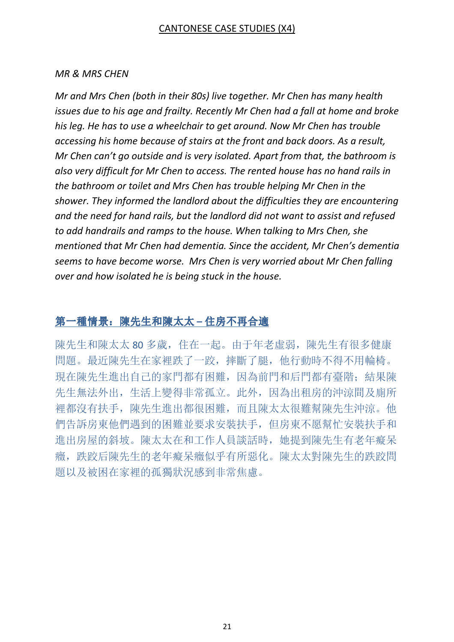## CANTONESE CASE STUDIES (X4)

#### MR & MRS CHEN

Mr and Mrs Chen (both in their 80s) live together. Mr Chen has many health issues due to his age and frailty. Recently Mr Chen had a fall at home and broke his leg. He has to use a wheelchair to get around. Now Mr Chen has trouble accessing his home because of stairs at the front and back doors. As a result, Mr Chen can't go outside and is very isolated. Apart from that, the bathroom is also very difficult for Mr Chen to access. The rented house has no hand rails in the bathroom or toilet and Mrs Chen has trouble helping Mr Chen in the shower. They informed the landlord about the difficulties they are encountering and the need for hand rails, but the landlord did not want to assist and refused to add handrails and ramps to the house. When talking to Mrs Chen, she mentioned that Mr Chen had dementia. Since the accident, Mr Chen's dementia seems to have become worse. Mrs Chen is very worried about Mr Chen falling over and how isolated he is being stuck in the house.

# 第一種情景: 陳先生和陳太太 – 住房不再合適

陳先生和陳太太 80 多歲, 住在一起。由于年老虛弱, 陳先生有很多健康 問題。最近陳先生在家裡跌了一跤,摔斷了腿,他行動時不得不用輪椅。 現在陳先生進出自己的家門都有困難,因為前門和后門都有臺階;結果陳 先生無法外出,生活上變得非常孤立。此外,因為出租房的沖涼間及廁所 裡都沒有扶手,陳先生進出都很困難,而且陳太太很難幫陳先生沖涼。他 們告訴房東他們遇到的困難並要求安裝扶手,但房東不愿幫忙安裝扶手和 進出房屋的斜坡。陳太太在和工作人員談話時,她提到陳先生有老年癡呆 癥,跌跤后陳先生的老年癡呆癥似乎有所惡化。陳太太對陳先生的跌跤問 題以及被困在家裡的孤獨狀況感到非常焦慮。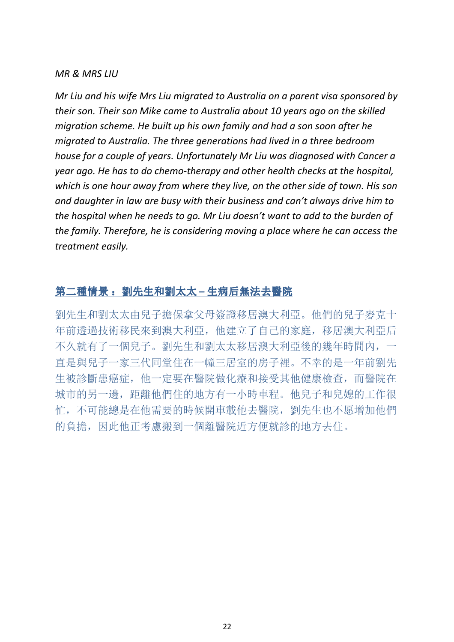#### MR & MRS LIU

Mr Liu and his wife Mrs Liu migrated to Australia on a parent visa sponsored by their son. Their son Mike came to Australia about 10 years ago on the skilled migration scheme. He built up his own family and had a son soon after he migrated to Australia. The three generations had lived in a three bedroom house for a couple of years. Unfortunately Mr Liu was diagnosed with Cancer a year ago. He has to do chemo-therapy and other health checks at the hospital, which is one hour away from where they live, on the other side of town. His son and daughter in law are busy with their business and can't always drive him to the hospital when he needs to go. Mr Liu doesn't want to add to the burden of the family. Therefore, he is considering moving a place where he can access the treatment easily.

# 第二種情景: 劉先生和劉太太 – 生病后無法去醫院

劉先生和劉太太由兒子擔保拿父母簽證移居澳大利亞。他們的兒子麥克十 年前透過技術移民來到澳大利亞,他建立了自己的家庭,移居澳大利亞后 不久就有了一個兒子。劉先生和劉太太移居澳大利亞後的幾年時間內,一 直是與兒子一家三代同堂住在一幢三居室的房子裡。不幸的是一年前劉先 生被診斷患癌症,他一定要在醫院做化療和接受其他健康檢查,而醫院在 城市的另一邊,距離他們住的地方有一小時車程。他兒子和兒媳的工作很 忙,不可能總是在他需要的時候開車載他去醫院,劉先生也不愿增加他們 的負擔,因此他正考慮搬到一個離醫院近方便就診的地方去住。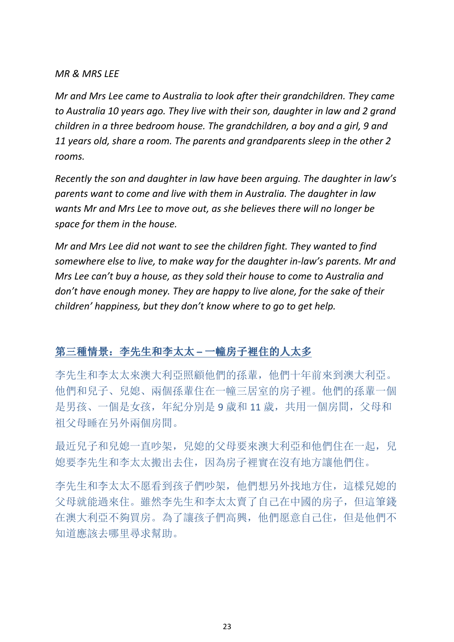### MR & MRS LEE

Mr and Mrs Lee came to Australia to look after their grandchildren. They came to Australia 10 years ago. They live with their son, daughter in law and 2 grand children in a three bedroom house. The grandchildren, a boy and a girl, 9 and 11 years old, share a room. The parents and grandparents sleep in the other 2 rooms.

Recently the son and daughter in law have been arguing. The daughter in law's parents want to come and live with them in Australia. The daughter in law wants Mr and Mrs Lee to move out, as she believes there will no longer be space for them in the house.

Mr and Mrs Lee did not want to see the children fight. They wanted to find somewhere else to live, to make way for the daughter in-law's parents. Mr and Mrs Lee can't buy a house, as they sold their house to come to Australia and don't have enough money. They are happy to live alone, for the sake of their children' happiness, but they don't know where to go to get help.

# 第三種情景: 李先生和李太太 – 一幢房子裡住的人太多

李先生和李太太來澳大利亞照顧他們的孫輩,他們十年前來到澳大利亞。 他們和兒子、兒媳、兩個孫輩住在一幢三居室的房子裡。他們的孫輩一個 是男孩、一個是女孩,年紀分別是 9 歲和 11 歲, 共用一個房間, 父母和 祖父母睡在另外兩個房間。

最近兒子和兒媳一直吵架,兒媳的父母要來澳大利亞和他們住在一起,兒 媳要李先生和李太太搬出去住,因為房子裡實在沒有地方讓他們住。

李先生和李太太不愿看到孩子們吵架,他們想另外找地方住,這樣兒媳的 父母就能過來住。雖然李先生和李太太賣了自己在中國的房子,但這筆錢 在澳大利亞不夠買房。為了讓孩子們高興,他們愿意自己住,但是他們不 知道應該去哪里尋求幫助。